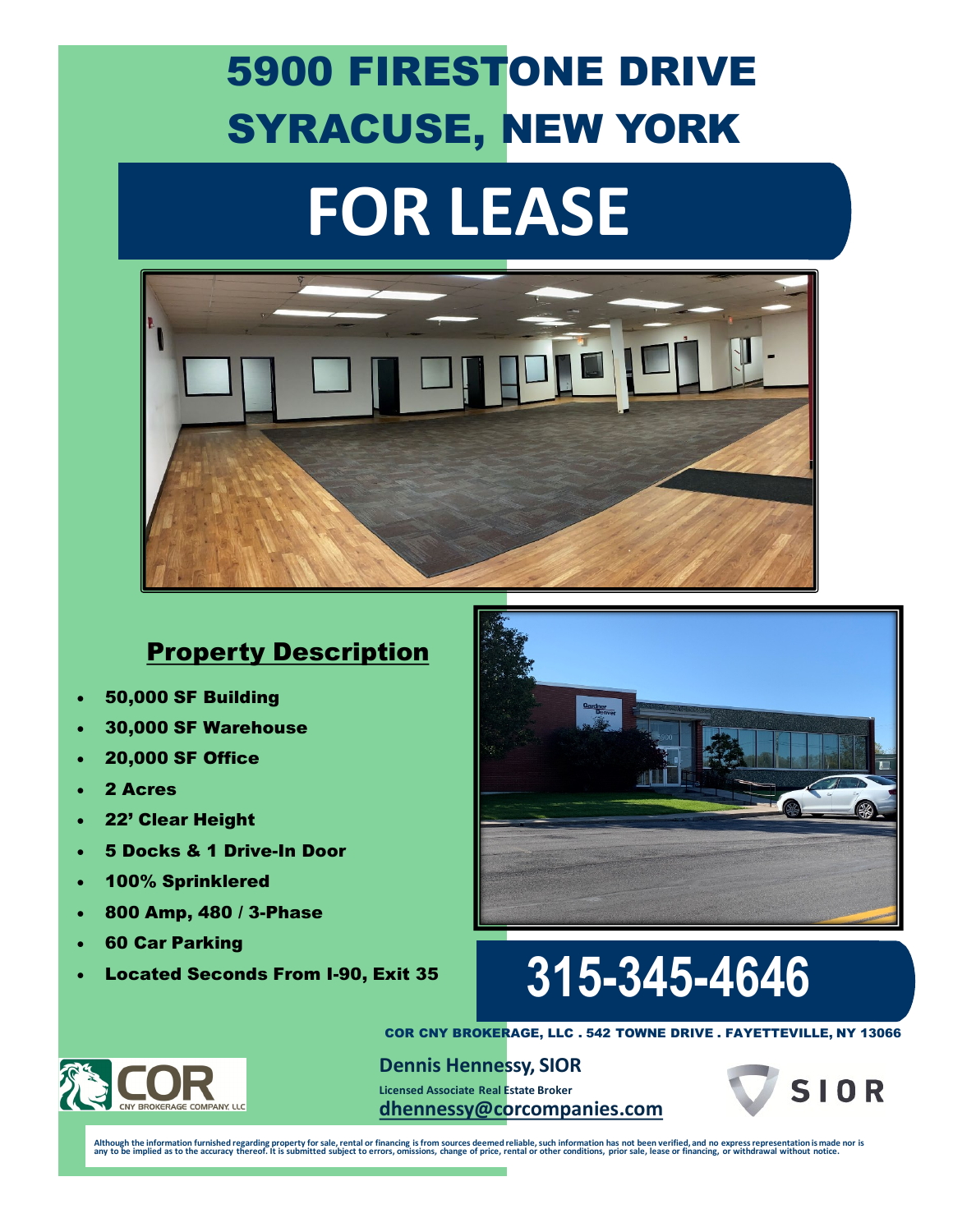### 5900 FIRESTONE DRIVE SYRACUSE, NEW YORK

# **FOR LEASE**



#### Property Description

- 50,000 SF Building
- 30,000 SF Warehouse
- 20,000 SF Office
- 2 Acres
- 22' Clear Height
- 5 Docks & 1 Drive-In Door
- 100% Sprinklered
- 800 Amp, 480 / 3-Phase
- 60 Car Parking
- 



### • Located Seconds From I-90, Exit 35 **315-345-4646**



COR CNY BROKERAGE, LLC . 542 TOWNE DRIVE . FAYETTEVILLE, NY 13066

**Dennis Hennessy, SIOR Licensed Associate Real Estate Broker [dhennessy@corcompanies.com](mailto:dhennessy@corcompanies.com)**



Although the information furnished regarding property for sale, rental or financing is from sources deemed reliable, such information has not been verified, and no express representation is made nor is any to be implied as